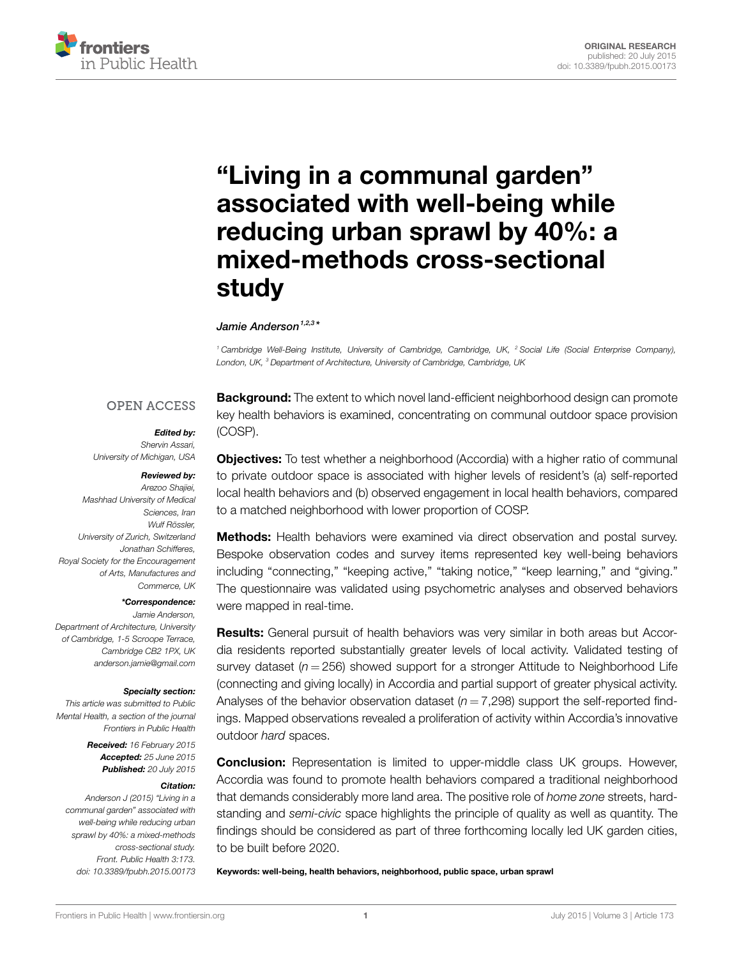

# **"Living [in a communal garden"](http://www.frontiersin.org/Journal/10.3389/fpubh.2015.00173/abstract) [associated with well-being while](http://www.frontiersin.org/Journal/10.3389/fpubh.2015.00173/abstract) [reducing urban sprawl by 40%: a](http://www.frontiersin.org/Journal/10.3389/fpubh.2015.00173/abstract) [mixed-methods cross-sectional](http://www.frontiersin.org/Journal/10.3389/fpubh.2015.00173/abstract) [study](http://www.frontiersin.org/Journal/10.3389/fpubh.2015.00173/abstract)**

*Jamie [Anderson](http://loop.frontiersin.org/people/211364/overview)1,2,3 \**

*<sup>1</sup> Cambridge Well-Being Institute, University of Cambridge, Cambridge, UK, <sup>2</sup> Social Life (Social Enterprise Company), London, UK, <sup>3</sup> Department of Architecture, University of Cambridge, Cambridge, UK*

# **OPEN ACCESS**

## *Edited by:*

*Shervin Assari, University of Michigan, USA*

#### *Reviewed by:*

*Arezoo Shajiei, Mashhad University of Medical Sciences, Iran Wulf Rössler, University of Zurich, Switzerland Jonathan Schifferes, Royal Society for the Encouragement of Arts, Manufactures and Commerce, UK*

#### *\*Correspondence:*

*Jamie Anderson, Department of Architecture, University of Cambridge, 1-5 Scroope Terrace, Cambridge CB2 1PX, UK [anderson.jamie@gmail.com](mailto:anderson.jamie@gmail.com)*

#### *Specialty section:*

*This article was submitted to Public Mental Health, a section of the journal Frontiers in Public Health*

> *Received: 16 February 2015 Accepted: 25 June 2015 Published: 20 July 2015*

#### *Citation:*

*Anderson J (2015) "Living in a communal garden" associated with well-being while reducing urban sprawl by 40%: a mixed-methods cross-sectional study. Front. Public Health 3:173. doi: [10.3389/fpubh.2015.00173](http://dx.doi.org/10.3389/fpubh.2015.00173)*

**Background:** The extent to which novel land-efficient neighborhood design can promote key health behaviors is examined, concentrating on communal outdoor space provision (COSP).

**Objectives:** To test whether a neighborhood (Accordia) with a higher ratio of communal to private outdoor space is associated with higher levels of resident's (a) self-reported local health behaviors and (b) observed engagement in local health behaviors, compared to a matched neighborhood with lower proportion of COSP.

**Methods:** Health behaviors were examined via direct observation and postal survey. Bespoke observation codes and survey items represented key well-being behaviors including "connecting," "keeping active," "taking notice," "keep learning," and "giving." The questionnaire was validated using psychometric analyses and observed behaviors were mapped in real-time.

**Results:** General pursuit of health behaviors was very similar in both areas but Accordia residents reported substantially greater levels of local activity. Validated testing of survey dataset ( $n = 256$ ) showed support for a stronger Attitude to Neighborhood Life (connecting and giving locally) in Accordia and partial support of greater physical activity. Analyses of the behavior observation dataset  $(n = 7,298)$  support the self-reported findings. Mapped observations revealed a proliferation of activity within Accordia's innovative outdoor *hard* spaces.

**Conclusion:** Representation is limited to upper-middle class UK groups. However, Accordia was found to promote health behaviors compared a traditional neighborhood that demands considerably more land area. The positive role of *home zone* streets, hardstanding and *semi-civic* space highlights the principle of quality as well as quantity. The findings should be considered as part of three forthcoming locally led UK garden cities, to be built before 2020.

**Keywords: well-being, health behaviors, neighborhood, public space, urban sprawl**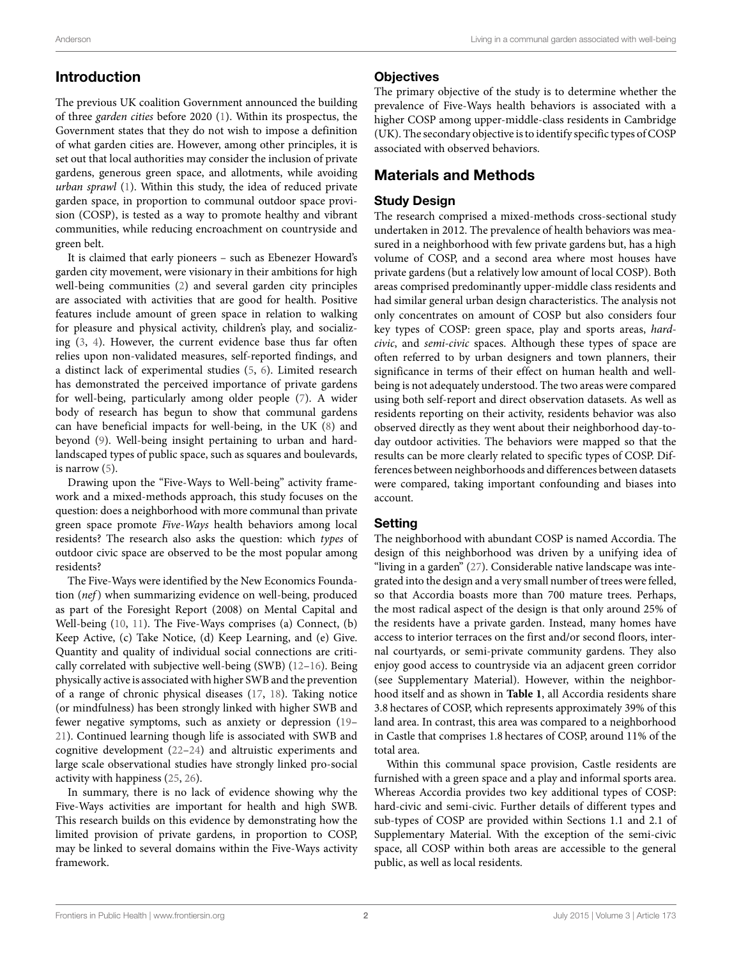# **Introduction**

The previous UK coalition Government announced the building of three *garden cities* before 2020([1](#page-12-0)). Within its prospectus, the Government states that they do not wish to impose a definition of what garden cities are. However, among other principles, it is set out that local authorities may consider the inclusion of private gardens, generous green space, and allotments, while avoiding *urban sprawl* [\(1\)](#page-12-0). Within this study, the idea of reduced private garden space, in proportion to communal outdoor space provision (COSP), is tested as a way to promote healthy and vibrant communities, while reducing encroachment on countryside and green belt.

It is claimed that early pioneers – such as Ebenezer Howard's garden city movement, were visionary in their ambitions for high well-being communities([2](#page-12-1)) and several garden city principles are associated with activities that are good for health. Positive features include amount of green space in relation to walking for pleasure and physical activity, children's play, and socializing([3](#page-12-2), [4](#page-12-3)). However, the current evidence base thus far often relies upon non-validated measures, self-reported findings, and a distinct lack of experimental studies([5,](#page-12-4) [6\)](#page-12-5). Limited research has demonstrated the perceived importance of private gardens for well-being, particularly among older people([7](#page-12-6)). A wider body of research has begun to show that communal gardens can have beneficial impacts for well-being, in the UK [\(8\)](#page-12-7) and beyond([9](#page-12-8)). Well-being insight pertaining to urban and hardlandscaped types of public space, such as squares and boulevards, is narrow([5\)](#page-12-4).

Drawing upon the "Five-Ways to Well-being" activity framework and a mixed-methods approach, this study focuses on the question: does a neighborhood with more communal than private green space promote *Five-Ways* health behaviors among local residents? The research also asks the question: which *types* of outdoor civic space are observed to be the most popular among residents?

The Five-Ways were identified by the New Economics Foundation (*nef*) when summarizing evidence on well-being, produced as part of the Foresight Report (2008) on Mental Capital and Well-being [\(10](#page-12-9), [11\)](#page-12-10). The Five-Ways comprises (a) Connect, (b) Keep Active, (c) Take Notice, (d) Keep Learning, and (e) Give. Quantity and quality of individual social connections are critically correlated with subjective well-being (SWB) [\(12](#page-12-11)[–16](#page-12-12)). Being physically active is associated with higher SWB and the prevention of a range of chronic physical diseases([17,](#page-12-13) [18\)](#page-12-14). Taking notice (or mindfulness) has been strongly linked with higher SWB and fewer negative symptoms, such as anxiety or depression([19–](#page-12-15) [21](#page-12-16)). Continued learning though life is associated with SWB and cognitive development([22](#page-12-17)–[24](#page-12-18)) and altruistic experiments and large scale observational studies have strongly linked pro-social activity with happiness([25,](#page-12-19) [26](#page-13-0)).

In summary, there is no lack of evidence showing why the Five-Ways activities are important for health and high SWB. This research builds on this evidence by demonstrating how the limited provision of private gardens, in proportion to COSP, may be linked to several domains within the Five-Ways activity framework.

# **Objectives**

The primary objective of the study is to determine whether the prevalence of Five-Ways health behaviors is associated with a higher COSP among upper-middle-class residents in Cambridge (UK). The secondary objective is to identify specific types of COSP associated with observed behaviors.

# **Materials and Methods**

# **Study Design**

The research comprised a mixed-methods cross-sectional study undertaken in 2012. The prevalence of health behaviors was measured in a neighborhood with few private gardens but, has a high volume of COSP, and a second area where most houses have private gardens (but a relatively low amount of local COSP). Both areas comprised predominantly upper-middle class residents and had similar general urban design characteristics. The analysis not only concentrates on amount of COSP but also considers four key types of COSP: green space, play and sports areas, *hardcivic*, and *semi-civic* spaces. Although these types of space are often referred to by urban designers and town planners, their significance in terms of their effect on human health and wellbeing is not adequately understood. The two areas were compared using both self-report and direct observation datasets. As well as residents reporting on their activity, residents behavior was also observed directly as they went about their neighborhood day-today outdoor activities. The behaviors were mapped so that the results can be more clearly related to specific types of COSP. Differences between neighborhoods and differences between datasets were compared, taking important confounding and biases into account.

### **Setting**

The neighborhood with abundant COSP is named Accordia. The design of this neighborhood was driven by a unifying idea of "living in a garden"([27\)](#page-13-1). Considerable native landscape was integrated into the design and a very small number of trees were felled, so that Accordia boasts more than 700 mature trees. Perhaps, the most radical aspect of the design is that only around 25% of the residents have a private garden. Instead, many homes have access to interior terraces on the first and/or second floors, internal courtyards, or semi-private community gardens. They also enjoy good access to countryside via an adjacent green corridor (see Supplementary Material). However, within the neighborhood itself and as shown in **[Table 1](#page-2-0)**, all Accordia residents share 3.8 hectares of COSP, which represents approximately 39% of this land area. In contrast, this area was compared to a neighborhood in Castle that comprises 1.8 hectares of COSP, around 11% of the total area.

Within this communal space provision, Castle residents are furnished with a green space and a play and informal sports area. Whereas Accordia provides two key additional types of COSP: hard-civic and semi-civic. Further details of different types and sub-types of COSP are provided within Sections 1.1 and 2.1 of Supplementary Material. With the exception of the semi-civic space, all COSP within both areas are accessible to the general public, as well as local residents.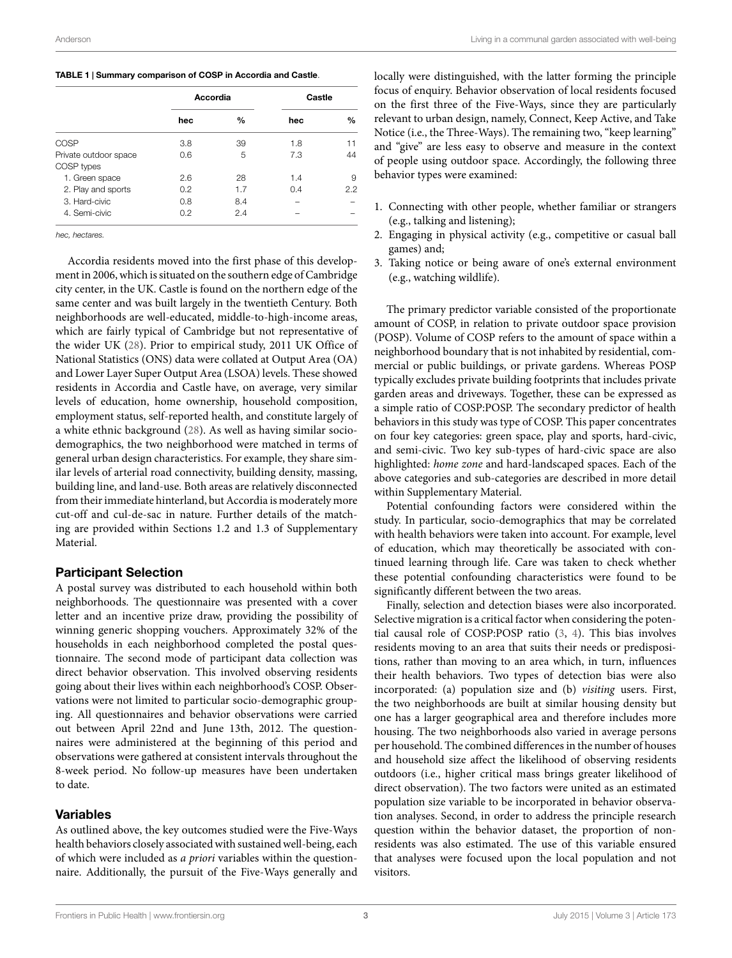#### <span id="page-2-0"></span>**TABLE 1 | Summary comparison of COSP in Accordia and Castle**.

|                       | Accordia |     | Castle |               |
|-----------------------|----------|-----|--------|---------------|
|                       | hec      | %   | hec    | $\frac{0}{0}$ |
| COSP                  | 3.8      | 39  | 1.8    | 11            |
| Private outdoor space | 0.6      | 5   | 7.3    | 44            |
| COSP types            |          |     |        |               |
| 1. Green space        | 2.6      | 28  | 1.4    | 9             |
| 2. Play and sports    | 0.2      | 1.7 | 0.4    | 2.2           |
| 3. Hard-civic         | 0.8      | 8.4 |        |               |
| 4. Semi-civic         | 0.2      | 2.4 |        |               |

*hec, hectares.*

Accordia residents moved into the first phase of this development in 2006, which is situated on the southern edge of Cambridge city center, in the UK. Castle is found on the northern edge of the same center and was built largely in the twentieth Century. Both neighborhoods are well-educated, middle-to-high-income areas, which are fairly typical of Cambridge but not representative of the wider UK [\(28\)](#page-13-2). Prior to empirical study, 2011 UK Office of National Statistics (ONS) data were collated at Output Area (OA) and Lower Layer Super Output Area (LSOA) levels. These showed residents in Accordia and Castle have, on average, very similar levels of education, home ownership, household composition, employment status, self-reported health, and constitute largely of a white ethnic background([28](#page-13-2)). As well as having similar sociodemographics, the two neighborhood were matched in terms of general urban design characteristics. For example, they share similar levels of arterial road connectivity, building density, massing, building line, and land-use. Both areas are relatively disconnected from their immediate hinterland, but Accordia is moderately more cut-off and cul-de-sac in nature. Further details of the matching are provided within Sections 1.2 and 1.3 of Supplementary Material.

### **Participant Selection**

A postal survey was distributed to each household within both neighborhoods. The questionnaire was presented with a cover letter and an incentive prize draw, providing the possibility of winning generic shopping vouchers. Approximately 32% of the households in each neighborhood completed the postal questionnaire. The second mode of participant data collection was direct behavior observation. This involved observing residents going about their lives within each neighborhood's COSP. Observations were not limited to particular socio-demographic grouping. All questionnaires and behavior observations were carried out between April 22nd and June 13th, 2012. The questionnaires were administered at the beginning of this period and observations were gathered at consistent intervals throughout the 8-week period. No follow-up measures have been undertaken to date.

# **Variables**

As outlined above, the key outcomes studied were the Five-Ways health behaviors closely associated with sustained well-being, each of which were included as *a priori* variables within the questionnaire. Additionally, the pursuit of the Five-Ways generally and locally were distinguished, with the latter forming the principle focus of enquiry. Behavior observation of local residents focused on the first three of the Five-Ways, since they are particularly relevant to urban design, namely, Connect, Keep Active, and Take Notice (i.e., the Three-Ways). The remaining two, "keep learning" and "give" are less easy to observe and measure in the context of people using outdoor space. Accordingly, the following three behavior types were examined:

- 1. Connecting with other people, whether familiar or strangers (e.g., talking and listening);
- 2. Engaging in physical activity (e.g., competitive or casual ball games) and;
- 3. Taking notice or being aware of one's external environment (e.g., watching wildlife).

The primary predictor variable consisted of the proportionate amount of COSP, in relation to private outdoor space provision (POSP). Volume of COSP refers to the amount of space within a neighborhood boundary that is not inhabited by residential, commercial or public buildings, or private gardens. Whereas POSP typically excludes private building footprints that includes private garden areas and driveways. Together, these can be expressed as a simple ratio of COSP:POSP. The secondary predictor of health behaviors in this study was type of COSP. This paper concentrates on four key categories: green space, play and sports, hard-civic, and semi-civic. Two key sub-types of hard-civic space are also highlighted: *home zone* and hard-landscaped spaces. Each of the above categories and sub-categories are described in more detail within Supplementary Material.

Potential confounding factors were considered within the study. In particular, socio-demographics that may be correlated with health behaviors were taken into account. For example, level of education, which may theoretically be associated with continued learning through life. Care was taken to check whether these potential confounding characteristics were found to be significantly different between the two areas.

Finally, selection and detection biases were also incorporated. Selective migration is a critical factor when considering the potential causal role of COSP:POSP ratio([3](#page-12-2), [4](#page-12-3)). This bias involves residents moving to an area that suits their needs or predispositions, rather than moving to an area which, in turn, influences their health behaviors. Two types of detection bias were also incorporated: (a) population size and (b) *visiting* users. First, the two neighborhoods are built at similar housing density but one has a larger geographical area and therefore includes more housing. The two neighborhoods also varied in average persons per household. The combined differences in the number of houses and household size affect the likelihood of observing residents outdoors (i.e., higher critical mass brings greater likelihood of direct observation). The two factors were united as an estimated population size variable to be incorporated in behavior observation analyses. Second, in order to address the principle research question within the behavior dataset, the proportion of nonresidents was also estimated. The use of this variable ensured that analyses were focused upon the local population and not visitors.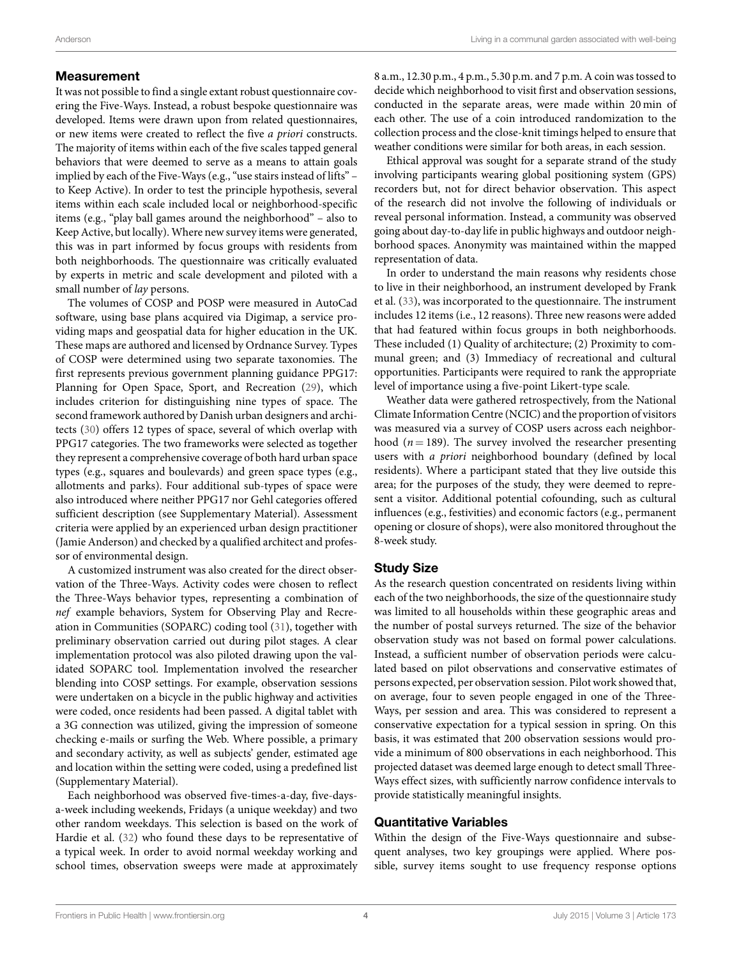#### **Measurement**

It was not possible to find a single extant robust questionnaire covering the Five-Ways. Instead, a robust bespoke questionnaire was developed. Items were drawn upon from related questionnaires, or new items were created to reflect the five *a priori* constructs. The majority of items within each of the five scales tapped general behaviors that were deemed to serve as a means to attain goals implied by each of the Five-Ways (e.g., "use stairs instead of lifts" – to Keep Active). In order to test the principle hypothesis, several items within each scale included local or neighborhood-specific items (e.g., "play ball games around the neighborhood" – also to Keep Active, but locally). Where new survey items were generated, this was in part informed by focus groups with residents from both neighborhoods. The questionnaire was critically evaluated by experts in metric and scale development and piloted with a small number of *lay* persons.

The volumes of COSP and POSP were measured in AutoCad software, using base plans acquired via Digimap, a service providing maps and geospatial data for higher education in the UK. These maps are authored and licensed by Ordnance Survey. Types of COSP were determined using two separate taxonomies. The first represents previous government planning guidance PPG17: Planning for Open Space, Sport, and Recreation([29\)](#page-13-3), which includes criterion for distinguishing nine types of space. The second framework authored by Danish urban designers and architects([30\)](#page-13-4) offers 12 types of space, several of which overlap with PPG17 categories. The two frameworks were selected as together they represent a comprehensive coverage of both hard urban space types (e.g., squares and boulevards) and green space types (e.g., allotments and parks). Four additional sub-types of space were also introduced where neither PPG17 nor Gehl categories offered sufficient description (see Supplementary Material). Assessment criteria were applied by an experienced urban design practitioner (Jamie Anderson) and checked by a qualified architect and professor of environmental design.

A customized instrument was also created for the direct observation of the Three-Ways. Activity codes were chosen to reflect the Three-Ways behavior types, representing a combination of *nef* example behaviors, System for Observing Play and Recreation in Communities (SOPARC) coding tool [\(31](#page-13-5)), together with preliminary observation carried out during pilot stages. A clear implementation protocol was also piloted drawing upon the validated SOPARC tool. Implementation involved the researcher blending into COSP settings. For example, observation sessions were undertaken on a bicycle in the public highway and activities were coded, once residents had been passed. A digital tablet with a 3G connection was utilized, giving the impression of someone checking e-mails or surfing the Web. Where possible, a primary and secondary activity, as well as subjects' gender, estimated age and location within the setting were coded, using a predefined list (Supplementary Material).

Each neighborhood was observed five-times-a-day, five-daysa-week including weekends, Fridays (a unique weekday) and two other random weekdays. This selection is based on the work of Hardie et al.([32\)](#page-13-6) who found these days to be representative of a typical week. In order to avoid normal weekday working and school times, observation sweeps were made at approximately

8 a.m., 12.30 p.m., 4 p.m., 5.30 p.m. and 7 p.m. A coin was tossed to decide which neighborhood to visit first and observation sessions, conducted in the separate areas, were made within 20 min of each other. The use of a coin introduced randomization to the collection process and the close-knit timings helped to ensure that weather conditions were similar for both areas, in each session.

Ethical approval was sought for a separate strand of the study involving participants wearing global positioning system (GPS) recorders but, not for direct behavior observation. This aspect of the research did not involve the following of individuals or reveal personal information. Instead, a community was observed going about day-to-day life in public highways and outdoor neighborhood spaces. Anonymity was maintained within the mapped representation of data.

In order to understand the main reasons why residents chose to live in their neighborhood, an instrument developed by Frank et al.([33\)](#page-13-7), was incorporated to the questionnaire. The instrument includes 12 items (i.e., 12 reasons). Three new reasons were added that had featured within focus groups in both neighborhoods. These included (1) Quality of architecture; (2) Proximity to communal green; and (3) Immediacy of recreational and cultural opportunities. Participants were required to rank the appropriate level of importance using a five-point Likert-type scale.

Weather data were gathered retrospectively, from the National Climate Information Centre (NCIC) and the proportion of visitors was measured via a survey of COSP users across each neighborhood ( $n = 189$ ). The survey involved the researcher presenting users with *a priori* neighborhood boundary (defined by local residents). Where a participant stated that they live outside this area; for the purposes of the study, they were deemed to represent a visitor. Additional potential cofounding, such as cultural influences (e.g., festivities) and economic factors (e.g., permanent opening or closure of shops), were also monitored throughout the 8-week study.

### **Study Size**

As the research question concentrated on residents living within each of the two neighborhoods, the size of the questionnaire study was limited to all households within these geographic areas and the number of postal surveys returned. The size of the behavior observation study was not based on formal power calculations. Instead, a sufficient number of observation periods were calculated based on pilot observations and conservative estimates of persons expected, per observation session. Pilot work showed that, on average, four to seven people engaged in one of the Three-Ways, per session and area. This was considered to represent a conservative expectation for a typical session in spring. On this basis, it was estimated that 200 observation sessions would provide a minimum of 800 observations in each neighborhood. This projected dataset was deemed large enough to detect small Three-Ways effect sizes, with sufficiently narrow confidence intervals to provide statistically meaningful insights.

#### **Quantitative Variables**

Within the design of the Five-Ways questionnaire and subsequent analyses, two key groupings were applied. Where possible, survey items sought to use frequency response options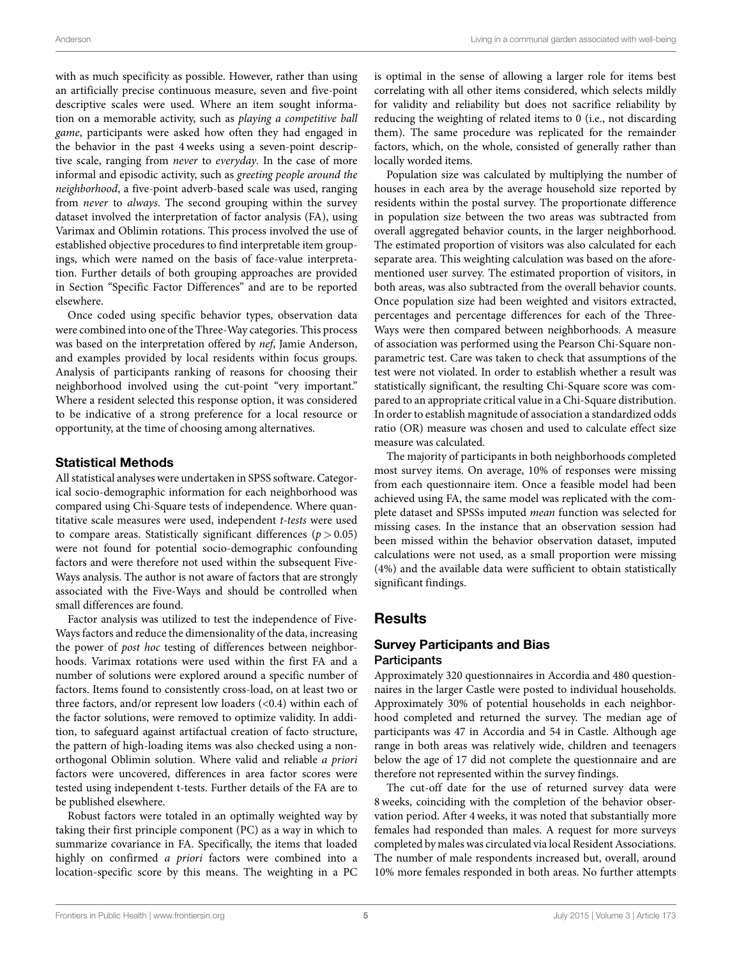with as much specificity as possible. However, rather than using an artificially precise continuous measure, seven and five-point descriptive scales were used. Where an item sought information on a memorable activity, such as *playing a competitive ball game*, participants were asked how often they had engaged in the behavior in the past 4 weeks using a seven-point descriptive scale, ranging from *never* to *everyday*. In the case of more informal and episodic activity, such as *greeting people around the neighborhood*, a five-point adverb-based scale was used, ranging from *never* to *always*. The second grouping within the survey dataset involved the interpretation of factor analysis (FA), using Varimax and Oblimin rotations. This process involved the use of established objective procedures to find interpretable item groupings, which were named on the basis of face-value interpretation. Further details of both grouping approaches are provided in Section "Specific Factor Differences" and are to be reported elsewhere.

Once coded using specific behavior types, observation data were combined into one of the Three-Way categories. This process was based on the interpretation offered by *nef*, Jamie Anderson, and examples provided by local residents within focus groups. Analysis of participants ranking of reasons for choosing their neighborhood involved using the cut-point "very important." Where a resident selected this response option, it was considered to be indicative of a strong preference for a local resource or opportunity, at the time of choosing among alternatives.

### **Statistical Methods**

All statistical analyses were undertaken in SPSS software. Categorical socio-demographic information for each neighborhood was compared using Chi-Square tests of independence. Where quantitative scale measures were used, independent *t-tests* were used to compare areas. Statistically significant differences ( $p > 0.05$ ) were not found for potential socio-demographic confounding factors and were therefore not used within the subsequent Five-Ways analysis. The author is not aware of factors that are strongly associated with the Five-Ways and should be controlled when small differences are found.

Factor analysis was utilized to test the independence of Five-Ways factors and reduce the dimensionality of the data, increasing the power of *post hoc* testing of differences between neighborhoods. Varimax rotations were used within the first FA and a number of solutions were explored around a specific number of factors. Items found to consistently cross-load, on at least two or three factors, and/or represent low loaders  $(<0.4)$  within each of the factor solutions, were removed to optimize validity. In addition, to safeguard against artifactual creation of facto structure, the pattern of high-loading items was also checked using a nonorthogonal Oblimin solution. Where valid and reliable *a priori* factors were uncovered, differences in area factor scores were tested using independent t-tests. Further details of the FA are to be published elsewhere.

Robust factors were totaled in an optimally weighted way by taking their first principle component (PC) as a way in which to summarize covariance in FA. Specifically, the items that loaded highly on confirmed *a priori* factors were combined into a location-specific score by this means. The weighting in a PC is optimal in the sense of allowing a larger role for items best correlating with all other items considered, which selects mildly for validity and reliability but does not sacrifice reliability by reducing the weighting of related items to 0 (i.e., not discarding them). The same procedure was replicated for the remainder factors, which, on the whole, consisted of generally rather than locally worded items.

Population size was calculated by multiplying the number of houses in each area by the average household size reported by residents within the postal survey. The proportionate difference in population size between the two areas was subtracted from overall aggregated behavior counts, in the larger neighborhood. The estimated proportion of visitors was also calculated for each separate area. This weighting calculation was based on the aforementioned user survey. The estimated proportion of visitors, in both areas, was also subtracted from the overall behavior counts. Once population size had been weighted and visitors extracted, percentages and percentage differences for each of the Three-Ways were then compared between neighborhoods. A measure of association was performed using the Pearson Chi-Square nonparametric test. Care was taken to check that assumptions of the test were not violated. In order to establish whether a result was statistically significant, the resulting Chi-Square score was compared to an appropriate critical value in a Chi-Square distribution. In order to establish magnitude of association a standardized odds ratio (OR) measure was chosen and used to calculate effect size measure was calculated.

The majority of participants in both neighborhoods completed most survey items. On average, 10% of responses were missing from each questionnaire item. Once a feasible model had been achieved using FA, the same model was replicated with the complete dataset and SPSSs imputed *mean* function was selected for missing cases. In the instance that an observation session had been missed within the behavior observation dataset, imputed calculations were not used, as a small proportion were missing (4%) and the available data were sufficient to obtain statistically significant findings.

# **Results**

# **Survey Participants and Bias Participants**

Approximately 320 questionnaires in Accordia and 480 questionnaires in the larger Castle were posted to individual households. Approximately 30% of potential households in each neighborhood completed and returned the survey. The median age of participants was 47 in Accordia and 54 in Castle. Although age range in both areas was relatively wide, children and teenagers below the age of 17 did not complete the questionnaire and are therefore not represented within the survey findings.

The cut-off date for the use of returned survey data were 8 weeks, coinciding with the completion of the behavior observation period. After 4 weeks, it was noted that substantially more females had responded than males. A request for more surveys completed by males was circulated via local Resident Associations. The number of male respondents increased but, overall, around 10% more females responded in both areas. No further attempts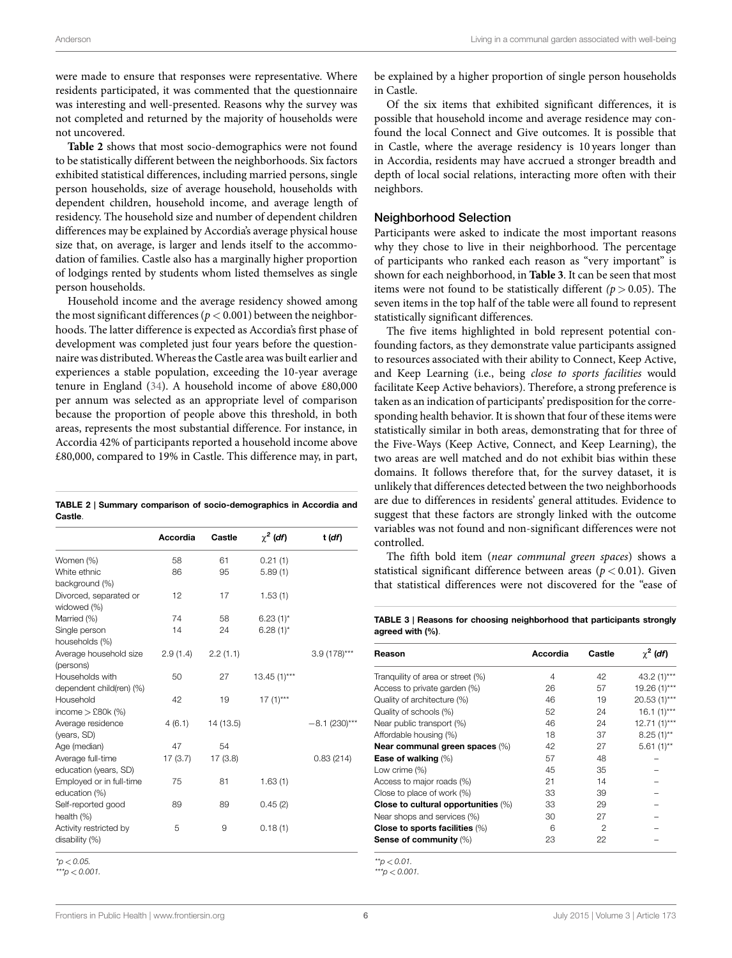were made to ensure that responses were representative. Where residents participated, it was commented that the questionnaire was interesting and well-presented. Reasons why the survey was not completed and returned by the majority of households were not uncovered.

**[Table 2](#page-5-0)** shows that most socio-demographics were not found to be statistically different between the neighborhoods. Six factors exhibited statistical differences, including married persons, single person households, size of average household, households with dependent children, household income, and average length of residency. The household size and number of dependent children differences may be explained by Accordia's average physical house size that, on average, is larger and lends itself to the accommodation of families. Castle also has a marginally higher proportion of lodgings rented by students whom listed themselves as single person households.

Household income and the average residency showed among the most significant differences ( $p < 0.001$ ) between the neighborhoods. The latter difference is expected as Accordia's first phase of development was completed just four years before the questionnaire was distributed.Whereas the Castle area was built earlier and experiences a stable population, exceeding the 10-year average tenure in England [\(34\)](#page-13-8). A household income of above £80,000 per annum was selected as an appropriate level of comparison because the proportion of people above this threshold, in both areas, represents the most substantial difference. For instance, in Accordia 42% of participants reported a household income above £80,000, compared to 19% in Castle. This difference may, in part,

<span id="page-5-0"></span>

|         | TABLE 2   Summary comparison of socio-demographics in Accordia and |  |
|---------|--------------------------------------------------------------------|--|
| Castle. |                                                                    |  |

|                          | Accordia | Castle    | $\chi^2$ (df) | t (df)          |
|--------------------------|----------|-----------|---------------|-----------------|
| Women (%)                | 58       | 61        | 0.21(1)       |                 |
| White ethnic             | 86       | 95        | 5.89(1)       |                 |
| background (%)           |          |           |               |                 |
| Divorced, separated or   | 12       | 17        | 1.53(1)       |                 |
| widowed (%)              |          |           |               |                 |
| Married (%)              | 74       | 58        | $6.23(1)$ *   |                 |
| Single person            | 14       | 24        | $6.28(1)$ *   |                 |
| households (%)           |          |           |               |                 |
| Average household size   | 2.9(1.4) | 2.2(1.1)  |               | $3.9(178)***$   |
| (persons)                |          |           |               |                 |
| Households with          | 50       | 27        | $13.45(1)***$ |                 |
| dependent child(ren) (%) |          |           |               |                 |
| Household                | 42       | 19        | $17(1)***$    |                 |
| income $>$ £80 $k$ (%)   |          |           |               |                 |
| Average residence        | 4(6.1)   | 14 (13.5) |               | $-8.1$ (230)*** |
| (years, SD)              |          |           |               |                 |
| Age (median)             | 47       | 54        |               |                 |
| Average full-time        | 17(3.7)  | 17(3.8)   |               | 0.83(214)       |
| education (years, SD)    |          |           |               |                 |
| Employed or in full-time | 75       | 81        | 1.63(1)       |                 |
| education (%)            |          |           |               |                 |
| Self-reported good       | 89       | 89        | 0.45(2)       |                 |
| health (%)               |          |           |               |                 |
| Activity restricted by   | 5        | 9         | 0.18(1)       |                 |
| disability (%)           |          |           |               |                 |

*\*p < 0.05.*

*\*\*\*p < 0.001.*

be explained by a higher proportion of single person households in Castle.

Of the six items that exhibited significant differences, it is possible that household income and average residence may confound the local Connect and Give outcomes. It is possible that in Castle, where the average residency is 10 years longer than in Accordia, residents may have accrued a stronger breadth and depth of local social relations, interacting more often with their neighbors.

## Neighborhood Selection

Participants were asked to indicate the most important reasons why they chose to live in their neighborhood. The percentage of participants who ranked each reason as "very important" is shown for each neighborhood, in **[Table 3](#page-5-1)**. It can be seen that most items were not found to be statistically different  $(p > 0.05)$ . The seven items in the top half of the table were all found to represent statistically significant differences.

The five items highlighted in bold represent potential confounding factors, as they demonstrate value participants assigned to resources associated with their ability to Connect, Keep Active, and Keep Learning (i.e., being *close to sports facilities* would facilitate Keep Active behaviors). Therefore, a strong preference is taken as an indication of participants' predisposition for the corresponding health behavior. It is shown that four of these items were statistically similar in both areas, demonstrating that for three of the Five-Ways (Keep Active, Connect, and Keep Learning), the two areas are well matched and do not exhibit bias within these domains. It follows therefore that, for the survey dataset, it is unlikely that differences detected between the two neighborhoods are due to differences in residents' general attitudes. Evidence to suggest that these factors are strongly linked with the outcome variables was not found and non-significant differences were not controlled.

The fifth bold item (*near communal green spaces*) shows a statistical significant difference between areas  $(p < 0.01)$ . Given that statistical differences were not discovered for the "ease of

<span id="page-5-1"></span>**TABLE 3 | Reasons for choosing neighborhood that participants strongly agreed with (%)**.

| Reason                              | Accordia | Castle | $\chi^2$ (df) |
|-------------------------------------|----------|--------|---------------|
| Tranguility of area or street (%)   | 4        | 42     | $43.2(1)***$  |
| Access to private garden (%)        | 26       | 57     | 19.26 (1)***  |
| Quality of architecture (%)         | 46       | 19     | $20.53(1)***$ |
| Quality of schools (%)              | 52       | 24     | $16.1 (1)***$ |
| Near public transport (%)           | 46       | 24     | $12.71(1)***$ |
| Affordable housing (%)              | 18       | 37     | $8.25(1)$ **  |
| Near communal green spaces (%)      | 42       | 27     | $5.61(1)$ **  |
| Ease of walking (%)                 | 57       | 48     |               |
| Low crime (%)                       | 45       | 35     |               |
| Access to major roads (%)           | 21       | 14     |               |
| Close to place of work (%)          | 33       | 39     |               |
| Close to cultural opportunities (%) | 33       | 29     |               |
| Near shops and services (%)         | 30       | 27     |               |
| Close to sports facilities $(\%)$   | 6        | 2      |               |
| <b>Sense of community (%)</b>       | 23       | 22     |               |

*\*\*p < 0.01.*

*\*\*\*p < 0.001.*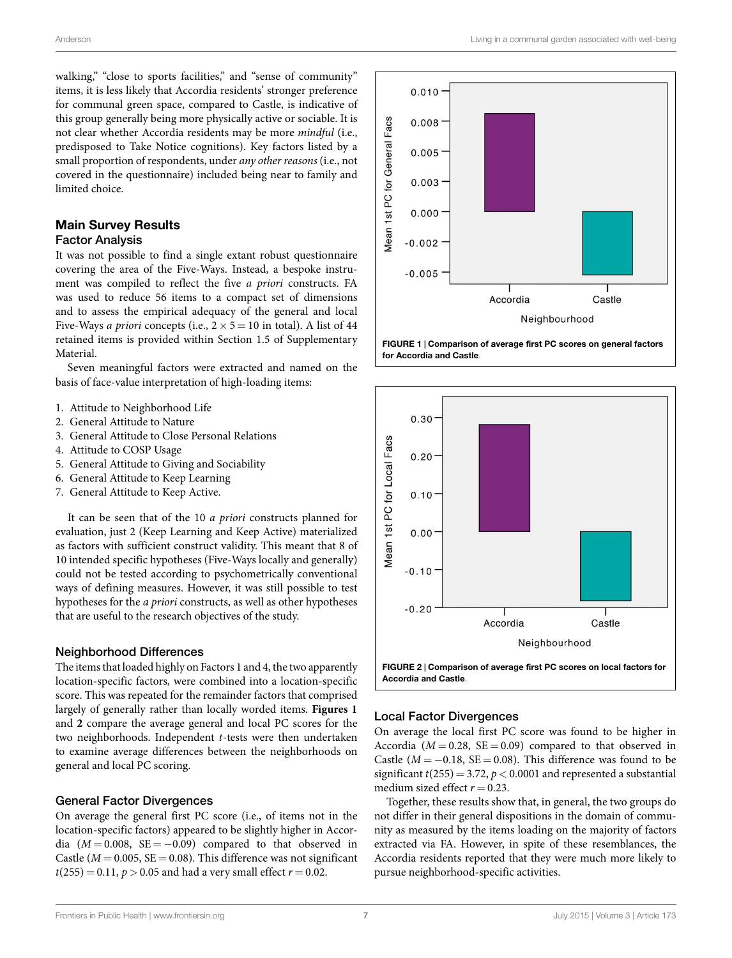walking," "close to sports facilities," and "sense of community" items, it is less likely that Accordia residents' stronger preference for communal green space, compared to Castle, is indicative of this group generally being more physically active or sociable. It is not clear whether Accordia residents may be more *mindful* (i.e., predisposed to Take Notice cognitions). Key factors listed by a small proportion of respondents, under *any other reasons* (i.e., not covered in the questionnaire) included being near to family and limited choice.

# **Main Survey Results**

## Factor Analysis

It was not possible to find a single extant robust questionnaire covering the area of the Five-Ways. Instead, a bespoke instrument was compiled to reflect the five *a priori* constructs. FA was used to reduce 56 items to a compact set of dimensions and to assess the empirical adequacy of the general and local Five-Ways *a priori* concepts (i.e.,  $2 \times 5 = 10$  in total). A list of 44 retained items is provided within Section 1.5 of Supplementary Material.

Seven meaningful factors were extracted and named on the basis of face-value interpretation of high-loading items:

- 1. Attitude to Neighborhood Life
- 2. General Attitude to Nature
- 3. General Attitude to Close Personal Relations
- 4. Attitude to COSP Usage
- 5. General Attitude to Giving and Sociability
- 6. General Attitude to Keep Learning
- 7. General Attitude to Keep Active.

It can be seen that of the 10 *a priori* constructs planned for evaluation, just 2 (Keep Learning and Keep Active) materialized as factors with sufficient construct validity. This meant that 8 of 10 intended specific hypotheses (Five-Ways locally and generally) could not be tested according to psychometrically conventional ways of defining measures. However, it was still possible to test hypotheses for the *a priori* constructs, as well as other hypotheses that are useful to the research objectives of the study.

### Neighborhood Differences

The items that loaded highly on Factors 1 and 4, the two apparently location-specific factors, were combined into a location-specific score. This was repeated for the remainder factors that comprised largely of generally rather than locally worded items. **[Figures 1](#page-6-0)** and **[2](#page-6-1)** compare the average general and local PC scores for the two neighborhoods. Independent *t*-tests were then undertaken to examine average differences between the neighborhoods on general and local PC scoring.

### General Factor Divergences

On average the general first PC score (i.e., of items not in the location-specific factors) appeared to be slightly higher in Accordia  $(M = 0.008, SE = -0.09)$  compared to that observed in Castle ( $M = 0.005$ ,  $SE = 0.08$ ). This difference was not significant  $t(255) = 0.11, p > 0.05$  and had a very small effect  $r = 0.02$ .



<span id="page-6-0"></span>**FIGURE 1 | Comparison of average first PC scores on general factors for Accordia and Castle**.



### <span id="page-6-1"></span>Local Factor Divergences

On average the local first PC score was found to be higher in Accordia ( $M = 0.28$ ,  $SE = 0.09$ ) compared to that observed in Castle ( $M = -0.18$ , SE = 0.08). This difference was found to be significant  $t(255) = 3.72$ ,  $p < 0.0001$  and represented a substantial medium sized effect  $r = 0.23$ .

Together, these results show that, in general, the two groups do not differ in their general dispositions in the domain of community as measured by the items loading on the majority of factors extracted via FA. However, in spite of these resemblances, the Accordia residents reported that they were much more likely to pursue neighborhood-specific activities.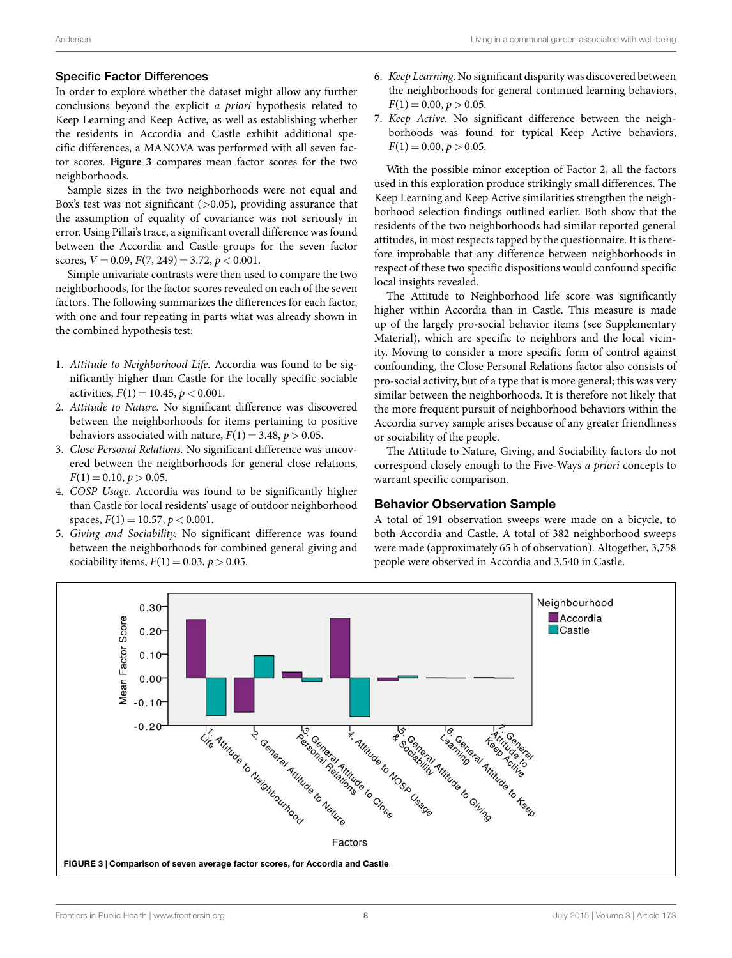## Specific Factor Differences

In order to explore whether the dataset might allow any further conclusions beyond the explicit *a priori* hypothesis related to Keep Learning and Keep Active, as well as establishing whether the residents in Accordia and Castle exhibit additional specific differences, a MANOVA was performed with all seven factor scores. **[Figure 3](#page-7-0)** compares mean factor scores for the two neighborhoods.

Sample sizes in the two neighborhoods were not equal and Box's test was not significant (*>*0.05), providing assurance that the assumption of equality of covariance was not seriously in error. Using Pillai's trace, a significant overall difference was found between the Accordia and Castle groups for the seven factor scores,  $V = 0.09$ ,  $F(7, 249) = 3.72$ ,  $p < 0.001$ .

Simple univariate contrasts were then used to compare the two neighborhoods, for the factor scores revealed on each of the seven factors. The following summarizes the differences for each factor, with one and four repeating in parts what was already shown in the combined hypothesis test:

- 1. *Attitude to Neighborhood Life.* Accordia was found to be significantly higher than Castle for the locally specific sociable activities, *F*(1) = 10.45, *p <* 0.001.
- 2. *Attitude to Nature.* No significant difference was discovered between the neighborhoods for items pertaining to positive behaviors associated with nature,  $F(1) = 3.48$ ,  $p > 0.05$ .
- 3. *Close Personal Relations.* No significant difference was uncovered between the neighborhoods for general close relations,  $F(1) = 0.10, p > 0.05.$
- 4. *COSP Usage.* Accordia was found to be significantly higher than Castle for local residents' usage of outdoor neighborhood spaces,  $F(1) = 10.57$ ,  $p < 0.001$ .
- 5. *Giving and Sociability.* No significant difference was found between the neighborhoods for combined general giving and sociability items,  $F(1) = 0.03, p > 0.05$ .
- 6. *Keep Learning.* No significant disparity was discovered between the neighborhoods for general continued learning behaviors,  $F(1) = 0.00, p > 0.05.$
- 7. *Keep Active.* No significant difference between the neighborhoods was found for typical Keep Active behaviors,  $F(1) = 0.00, p > 0.05.$

With the possible minor exception of Factor 2, all the factors used in this exploration produce strikingly small differences. The Keep Learning and Keep Active similarities strengthen the neighborhood selection findings outlined earlier. Both show that the residents of the two neighborhoods had similar reported general attitudes, in most respects tapped by the questionnaire. It is therefore improbable that any difference between neighborhoods in respect of these two specific dispositions would confound specific local insights revealed.

The Attitude to Neighborhood life score was significantly higher within Accordia than in Castle. This measure is made up of the largely pro-social behavior items (see Supplementary Material), which are specific to neighbors and the local vicinity. Moving to consider a more specific form of control against confounding, the Close Personal Relations factor also consists of pro-social activity, but of a type that is more general; this was very similar between the neighborhoods. It is therefore not likely that the more frequent pursuit of neighborhood behaviors within the Accordia survey sample arises because of any greater friendliness or sociability of the people.

The Attitude to Nature, Giving, and Sociability factors do not correspond closely enough to the Five-Ways *a priori* concepts to warrant specific comparison.

# **Behavior Observation Sample**

A total of 191 observation sweeps were made on a bicycle, to both Accordia and Castle. A total of 382 neighborhood sweeps were made (approximately 65 h of observation). Altogether, 3,758 people were observed in Accordia and 3,540 in Castle.

<span id="page-7-0"></span>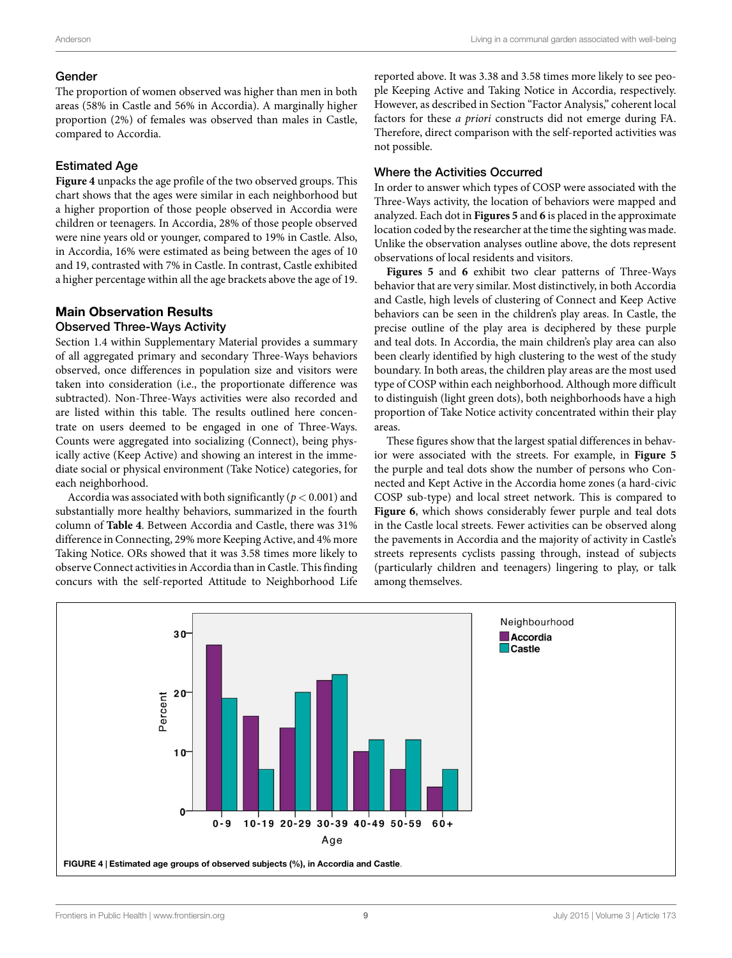## Gender

The proportion of women observed was higher than men in both areas (58% in Castle and 56% in Accordia). A marginally higher proportion (2%) of females was observed than males in Castle, compared to Accordia.

# Estimated Age

**[Figure 4](#page-8-0)** unpacks the age profile of the two observed groups. This chart shows that the ages were similar in each neighborhood but a higher proportion of those people observed in Accordia were children or teenagers. In Accordia, 28% of those people observed were nine years old or younger, compared to 19% in Castle. Also, in Accordia, 16% were estimated as being between the ages of 10 and 19, contrasted with 7% in Castle. In contrast, Castle exhibited a higher percentage within all the age brackets above the age of 19.

# **Main Observation Results**

## Observed Three-Ways Activity

Section 1.4 within Supplementary Material provides a summary of all aggregated primary and secondary Three-Ways behaviors observed, once differences in population size and visitors were taken into consideration (i.e., the proportionate difference was subtracted). Non-Three-Ways activities were also recorded and are listed within this table. The results outlined here concentrate on users deemed to be engaged in one of Three-Ways. Counts were aggregated into socializing (Connect), being physically active (Keep Active) and showing an interest in the immediate social or physical environment (Take Notice) categories, for each neighborhood.

Accordia was associated with both significantly (*p <* 0.001) and substantially more healthy behaviors, summarized in the fourth column of **[Table 4](#page-9-0)**. Between Accordia and Castle, there was 31% difference in Connecting, 29% more Keeping Active, and 4% more Taking Notice. ORs showed that it was 3.58 times more likely to observe Connect activities in Accordia than in Castle. This finding concurs with the self-reported Attitude to Neighborhood Life

reported above. It was 3.38 and 3.58 times more likely to see people Keeping Active and Taking Notice in Accordia, respectively. However, as described in Section "Factor Analysis," coherent local factors for these *a priori* constructs did not emerge during FA. Therefore, direct comparison with the self-reported activities was not possible.

# Where the Activities Occurred

In order to answer which types of COSP were associated with the Three-Ways activity, the location of behaviors were mapped and analyzed. Each dot in **[Figures 5](#page-9-1)** and **[6](#page-10-0)** is placed in the approximate location coded by the researcher at the time the sighting was made. Unlike the observation analyses outline above, the dots represent observations of local residents and visitors.

**[Figures 5](#page-9-1)** and **[6](#page-10-0)** exhibit two clear patterns of Three-Ways behavior that are very similar. Most distinctively, in both Accordia and Castle, high levels of clustering of Connect and Keep Active behaviors can be seen in the children's play areas. In Castle, the precise outline of the play area is deciphered by these purple and teal dots. In Accordia, the main children's play area can also been clearly identified by high clustering to the west of the study boundary. In both areas, the children play areas are the most used type of COSP within each neighborhood. Although more difficult to distinguish (light green dots), both neighborhoods have a high proportion of Take Notice activity concentrated within their play areas.

These figures show that the largest spatial differences in behavior were associated with the streets. For example, in **[Figure 5](#page-9-1)** the purple and teal dots show the number of persons who Connected and Kept Active in the Accordia home zones (a hard-civic COSP sub-type) and local street network. This is compared to **[Figure 6](#page-10-0)**, which shows considerably fewer purple and teal dots in the Castle local streets. Fewer activities can be observed along the pavements in Accordia and the majority of activity in Castle's streets represents cyclists passing through, instead of subjects (particularly children and teenagers) lingering to play, or talk among themselves.

<span id="page-8-0"></span>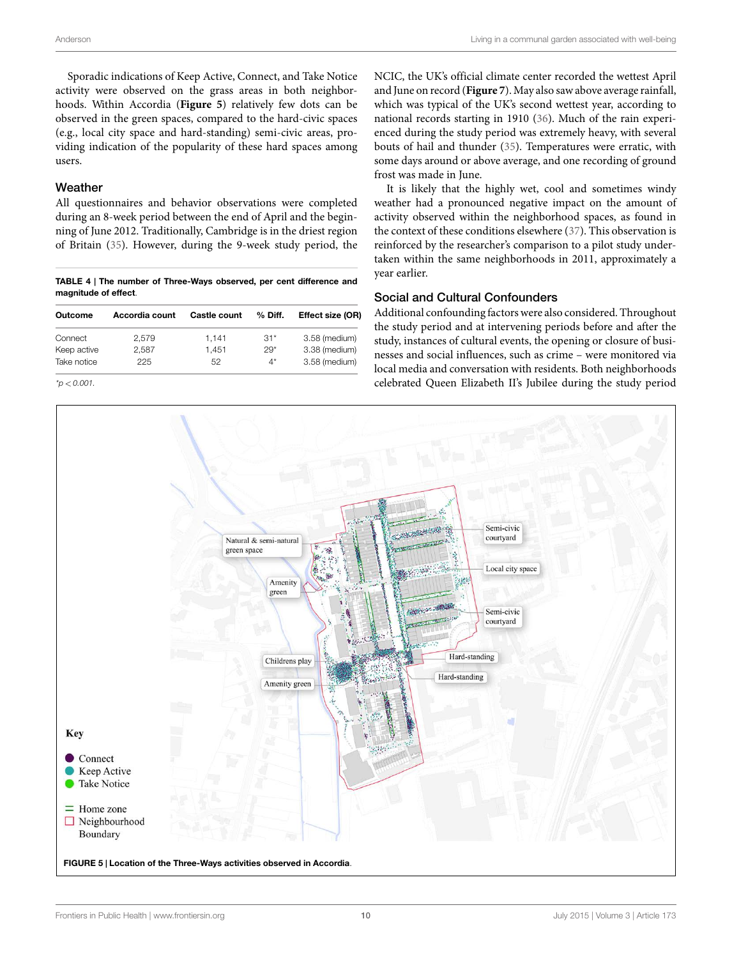Sporadic indications of Keep Active, Connect, and Take Notice activity were observed on the grass areas in both neighborhoods. Within Accordia (**[Figure 5](#page-9-1)**) relatively few dots can be observed in the green spaces, compared to the hard-civic spaces (e.g., local city space and hard-standing) semi-civic areas, providing indication of the popularity of these hard spaces among users.

## Weather

All questionnaires and behavior observations were completed during an 8-week period between the end of April and the beginning of June 2012. Traditionally, Cambridge is in the driest region of Britain([35\)](#page-13-9). However, during the 9-week study period, the

<span id="page-9-0"></span>**TABLE 4 | The number of Three-Ways observed, per cent difference and magnitude of effect**.

| Outcome     | Accordia count | <b>Castle count</b> | % Diff. | Effect size (OR) |
|-------------|----------------|---------------------|---------|------------------|
| Connect     | 2.579          | 1.141               | $31*$   | 3.58 (medium)    |
| Keep active | 2,587          | 1.451               | $29*$   | 3.38 (medium)    |
| Take notice | 225            | 52                  | $4^*$   | 3.58 (medium)    |

*\*p < 0.001.*

NCIC, the UK's official climate center recorded the wettest April and June on record (**[Figure 7](#page-10-1)**). May also saw above average rainfall, which was typical of the UK's second wettest year, according to national records starting in 1910([36\)](#page-13-10). Much of the rain experienced during the study period was extremely heavy, with several bouts of hail and thunder [\(35](#page-13-9)). Temperatures were erratic, with some days around or above average, and one recording of ground frost was made in June.

It is likely that the highly wet, cool and sometimes windy weather had a pronounced negative impact on the amount of activity observed within the neighborhood spaces, as found in the context of these conditions elsewhere([37\)](#page-13-11). This observation is reinforced by the researcher's comparison to a pilot study undertaken within the same neighborhoods in 2011, approximately a year earlier.

### Social and Cultural Confounders

Additional confounding factors were also considered. Throughout the study period and at intervening periods before and after the study, instances of cultural events, the opening or closure of businesses and social influences, such as crime – were monitored via local media and conversation with residents. Both neighborhoods celebrated Queen Elizabeth II's Jubilee during the study period

<span id="page-9-1"></span>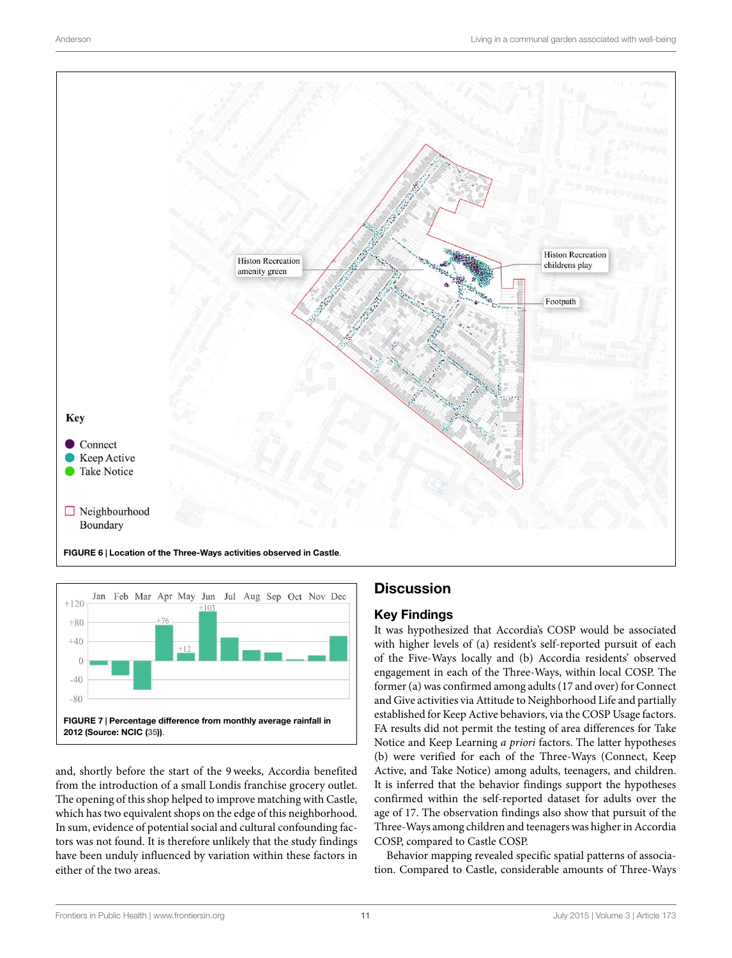

<span id="page-10-0"></span>

<span id="page-10-1"></span>and, shortly before the start of the 9 weeks, Accordia benefited from the introduction of a small Londis franchise grocery outlet. The opening of this shop helped to improve matching with Castle, which has two equivalent shops on the edge of this neighborhood. In sum, evidence of potential social and cultural confounding factors was not found. It is therefore unlikely that the study findings have been unduly influenced by variation within these factors in either of the two areas.

# **Discussion**

# **Key Findings**

It was hypothesized that Accordia's COSP would be associated with higher levels of (a) resident's self-reported pursuit of each of the Five-Ways locally and (b) Accordia residents' observed engagement in each of the Three-Ways, within local COSP. The former (a) was confirmed among adults (17 and over) for Connect and Give activities via Attitude to Neighborhood Life and partially established for Keep Active behaviors, via the COSP Usage factors. FA results did not permit the testing of area differences for Take Notice and Keep Learning *a priori* factors. The latter hypotheses (b) were verified for each of the Three-Ways (Connect, Keep Active, and Take Notice) among adults, teenagers, and children. It is inferred that the behavior findings support the hypotheses confirmed within the self-reported dataset for adults over the age of 17. The observation findings also show that pursuit of the Three-Ways among children and teenagers was higher in Accordia COSP, compared to Castle COSP.

Behavior mapping revealed specific spatial patterns of association. Compared to Castle, considerable amounts of Three-Ways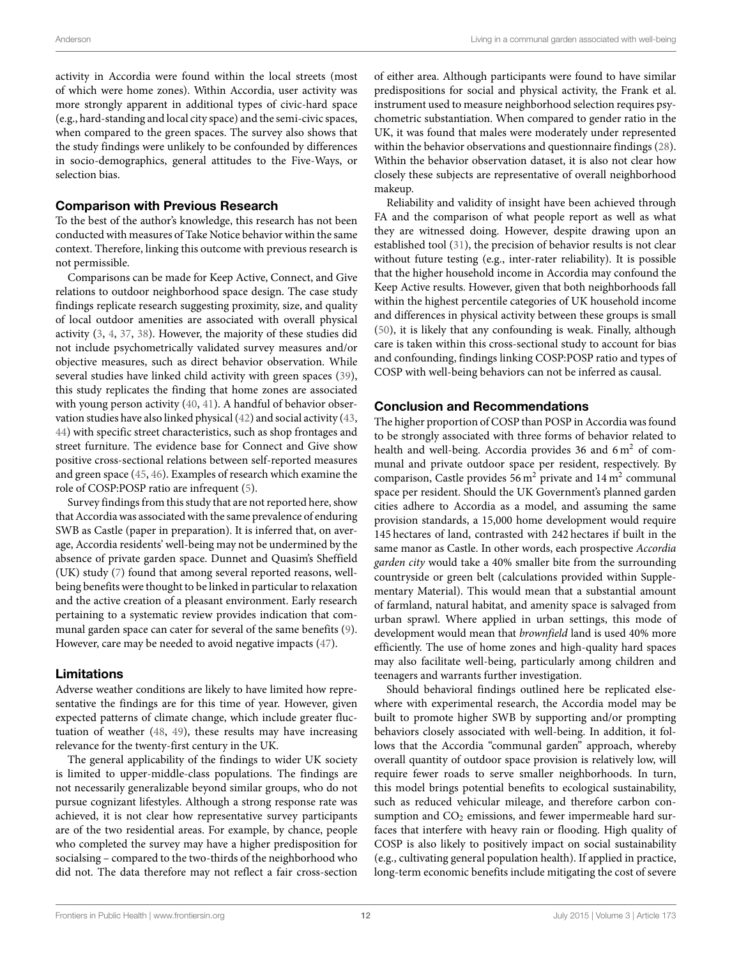activity in Accordia were found within the local streets (most of which were home zones). Within Accordia, user activity was more strongly apparent in additional types of civic-hard space (e.g., hard-standing and local city space) and the semi-civic spaces, when compared to the green spaces. The survey also shows that the study findings were unlikely to be confounded by differences in socio-demographics, general attitudes to the Five-Ways, or selection bias.

## **Comparison with Previous Research**

To the best of the author's knowledge, this research has not been conducted with measures of Take Notice behavior within the same context. Therefore, linking this outcome with previous research is not permissible.

Comparisons can be made for Keep Active, Connect, and Give relations to outdoor neighborhood space design. The case study findings replicate research suggesting proximity, size, and quality of local outdoor amenities are associated with overall physical activity([3](#page-12-2), [4,](#page-12-3) [37,](#page-13-11) [38\)](#page-13-12). However, the majority of these studies did not include psychometrically validated survey measures and/or objective measures, such as direct behavior observation. While several studies have linked child activity with green spaces [\(39](#page-13-13)), this study replicates the finding that home zones are associated with young person activity [\(40](#page-13-14), [41\)](#page-13-15). A handful of behavior observation studies have also linked physical [\(42](#page-13-16)) and social activity([43,](#page-13-17) [44](#page-13-18)) with specific street characteristics, such as shop frontages and street furniture. The evidence base for Connect and Give show positive cross-sectional relations between self-reported measures and green space([45,](#page-13-19) [46](#page-13-20)). Examples of research which examine the role of COSP:POSP ratio are infrequent([5](#page-12-4)).

Survey findings from this study that are not reported here, show that Accordia was associated with the same prevalence of enduring SWB as Castle (paper in preparation). It is inferred that, on average, Accordia residents' well-being may not be undermined by the absence of private garden space. Dunnet and Quasim's Sheffield (UK) study([7](#page-12-6)) found that among several reported reasons, wellbeing benefits were thought to be linked in particular to relaxation and the active creation of a pleasant environment. Early research pertaining to a systematic review provides indication that communal garden space can cater for several of the same benefits([9](#page-12-8)). However, care may be needed to avoid negative impacts [\(47](#page-13-21)).

### **Limitations**

Adverse weather conditions are likely to have limited how representative the findings are for this time of year. However, given expected patterns of climate change, which include greater fluctuation of weather([48](#page-13-22), [49](#page-13-23)), these results may have increasing relevance for the twenty-first century in the UK.

The general applicability of the findings to wider UK society is limited to upper-middle-class populations. The findings are not necessarily generalizable beyond similar groups, who do not pursue cognizant lifestyles. Although a strong response rate was achieved, it is not clear how representative survey participants are of the two residential areas. For example, by chance, people who completed the survey may have a higher predisposition for socialsing – compared to the two-thirds of the neighborhood who did not. The data therefore may not reflect a fair cross-section of either area. Although participants were found to have similar predispositions for social and physical activity, the Frank et al. instrument used to measure neighborhood selection requires psychometric substantiation. When compared to gender ratio in the UK, it was found that males were moderately under represented within the behavior observations and questionnaire findings([28\)](#page-13-2). Within the behavior observation dataset, it is also not clear how closely these subjects are representative of overall neighborhood makeup.

Reliability and validity of insight have been achieved through FA and the comparison of what people report as well as what they are witnessed doing. However, despite drawing upon an established tool([31](#page-13-5)), the precision of behavior results is not clear without future testing (e.g., inter-rater reliability). It is possible that the higher household income in Accordia may confound the Keep Active results. However, given that both neighborhoods fall within the highest percentile categories of UK household income and differences in physical activity between these groups is small ([50\)](#page-13-24), it is likely that any confounding is weak. Finally, although care is taken within this cross-sectional study to account for bias and confounding, findings linking COSP:POSP ratio and types of COSP with well-being behaviors can not be inferred as causal.

## **Conclusion and Recommendations**

The higher proportion of COSP than POSP in Accordia was found to be strongly associated with three forms of behavior related to health and well-being. Accordia provides 36 and 6 m<sup>2</sup> of communal and private outdoor space per resident, respectively. By comparison, Castle provides 56 m<sup>2</sup> private and 14 m<sup>2</sup> communal space per resident. Should the UK Government's planned garden cities adhere to Accordia as a model, and assuming the same provision standards, a 15,000 home development would require 145 hectares of land, contrasted with 242 hectares if built in the same manor as Castle. In other words, each prospective *Accordia garden city* would take a 40% smaller bite from the surrounding countryside or green belt (calculations provided within Supplementary Material). This would mean that a substantial amount of farmland, natural habitat, and amenity space is salvaged from urban sprawl. Where applied in urban settings, this mode of development would mean that *brownfield* land is used 40% more efficiently. The use of home zones and high-quality hard spaces may also facilitate well-being, particularly among children and teenagers and warrants further investigation.

Should behavioral findings outlined here be replicated elsewhere with experimental research, the Accordia model may be built to promote higher SWB by supporting and/or prompting behaviors closely associated with well-being. In addition, it follows that the Accordia "communal garden" approach, whereby overall quantity of outdoor space provision is relatively low, will require fewer roads to serve smaller neighborhoods. In turn, this model brings potential benefits to ecological sustainability, such as reduced vehicular mileage, and therefore carbon consumption and  $CO<sub>2</sub>$  emissions, and fewer impermeable hard surfaces that interfere with heavy rain or flooding. High quality of COSP is also likely to positively impact on social sustainability (e.g., cultivating general population health). If applied in practice, long-term economic benefits include mitigating the cost of severe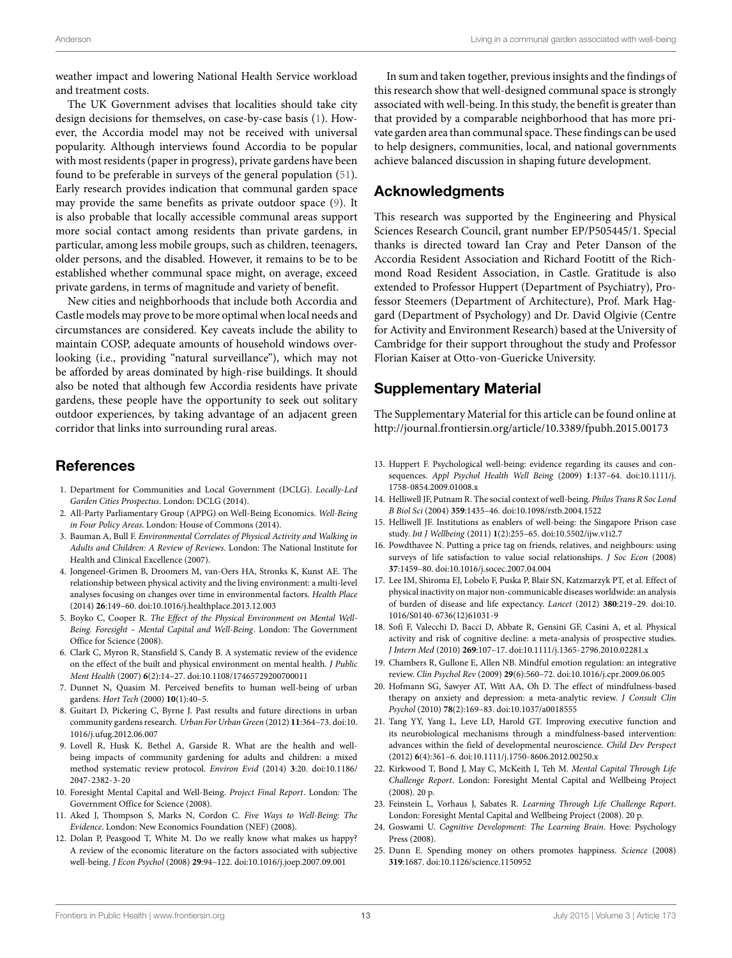weather impact and lowering National Health Service workload and treatment costs.

The UK Government advises that localities should take city design decisions for themselves, on case-by-case basis([1](#page-12-0)). However, the Accordia model may not be received with universal popularity. Although interviews found Accordia to be popular with most residents (paper in progress), private gardens have been found to be preferable in surveys of the general population [\(51](#page-13-25)). Early research provides indication that communal garden space may provide the same benefits as private outdoor space([9](#page-12-8)). It is also probable that locally accessible communal areas support more social contact among residents than private gardens, in particular, among less mobile groups, such as children, teenagers, older persons, and the disabled. However, it remains to be to be established whether communal space might, on average, exceed private gardens, in terms of magnitude and variety of benefit.

New cities and neighborhoods that include both Accordia and Castle models may prove to be more optimal when local needs and circumstances are considered. Key caveats include the ability to maintain COSP, adequate amounts of household windows overlooking (i.e., providing "natural surveillance"), which may not be afforded by areas dominated by high-rise buildings. It should also be noted that although few Accordia residents have private gardens, these people have the opportunity to seek out solitary outdoor experiences, by taking advantage of an adjacent green corridor that links into surrounding rural areas.

# **References**

- <span id="page-12-0"></span>1. Department for Communities and Local Government (DCLG). *Locally-Led Garden Cities Prospectus*. London: DCLG (2014).
- <span id="page-12-1"></span>2. All-Party Parliamentary Group (APPG) on Well-Being Economics. *Well-Being in Four Policy Areas*. London: House of Commons (2014).
- <span id="page-12-2"></span>3. Bauman A, Bull F. *Environmental Correlates of Physical Activity and Walking in Adults and Children: A Review of Reviews*. London: The National Institute for Health and Clinical Excellence (2007).
- <span id="page-12-3"></span>4. Jongeneel-Grimen B, Droomers M, van-Oers HA, Stronks K, Kunst AE. The relationship between physical activity and the living environment: a multi-level analyses focusing on changes over time in environmental factors. *Health Place* (2014) **26**:149–60. doi:[10.1016/j.healthplace.2013.12.003](http://dx.doi.org/10.1016/j.healthplace.2013.12.003)
- <span id="page-12-4"></span>5. Boyko C, Cooper R. *The Effect of the Physical Environment on Mental Well-Being. Foresight – Mental Capital and Well-Being*. London: The Government Office for Science (2008).
- <span id="page-12-5"></span>6. Clark C, Myron R, Stansfield S, Candy B. A systematic review of the evidence on the effect of the built and physical environment on mental health. *J Public Ment Health* (2007) **6**(2):14–27. doi:[10.1108/17465729200700011](http://dx.doi.org/10.1108/17465729200700011)
- <span id="page-12-6"></span>7. Dunnet N, Quasim M. Perceived benefits to human well-being of urban gardens. *Hort Tech* (2000) **10**(1):40–5.
- <span id="page-12-7"></span>8. Guitart D, Pickering C, Byrne J. Past results and future directions in urban community gardens research. *Urban For Urban Green* (2012) **11**:364–73. doi[:10.](http://dx.doi.org/10.1016/j.ufug.2012.06.007) [1016/j.ufug.2012.06.007](http://dx.doi.org/10.1016/j.ufug.2012.06.007)
- <span id="page-12-8"></span>9. Lovell R, Husk K, Bethel A, Garside R. What are the health and wellbeing impacts of community gardening for adults and children: a mixed method systematic review protocol. *Environ Evid* (2014) **3**:20. doi[:10.1186/](http://dx.doi.org/10.1186/2047-2382-3-20) [2047-2382-3-20](http://dx.doi.org/10.1186/2047-2382-3-20)
- <span id="page-12-9"></span>10. Foresight Mental Capital and Well-Being. *Project Final Report*. London: The Government Office for Science (2008).
- <span id="page-12-10"></span>11. Aked J, Thompson S, Marks N, Cordon C. *Five Ways to Well-Being: The Evidence*. London: New Economics Foundation (NEF) (2008).
- <span id="page-12-11"></span>12. Dolan P, Peasgood T, White M. Do we really know what makes us happy? A review of the economic literature on the factors associated with subjective well-being. *J Econ Psychol* (2008) **29**:94–122. doi[:10.1016/j.joep.2007.09.001](http://dx.doi.org/10.1016/j.joep.2007.09.001)

In sum and taken together, previous insights and the findings of this research show that well-designed communal space is strongly associated with well-being. In this study, the benefit is greater than that provided by a comparable neighborhood that has more private garden area than communal space. These findings can be used to help designers, communities, local, and national governments achieve balanced discussion in shaping future development.

# **Acknowledgments**

This research was supported by the Engineering and Physical Sciences Research Council, grant number EP/P505445/1. Special thanks is directed toward Ian Cray and Peter Danson of the Accordia Resident Association and Richard Footitt of the Richmond Road Resident Association, in Castle. Gratitude is also extended to Professor Huppert (Department of Psychiatry), Professor Steemers (Department of Architecture), Prof. Mark Haggard (Department of Psychology) and Dr. David Olgivie (Centre for Activity and Environment Research) based at the University of Cambridge for their support throughout the study and Professor Florian Kaiser at Otto-von-Guericke University.

# **Supplementary Material**

The Supplementary Material for this article can be found online at <http://journal.frontiersin.org/article/10.3389/fpubh.2015.00173>

- 13. Huppert F. Psychological well-being: evidence regarding its causes and consequences. *Appl Psychol Health Well Being* (2009) **1**:137–64. doi[:10.1111/j.](http://dx.doi.org/10.1111/j.1758-0854.2009.01008.x) [1758-0854.2009.01008.x](http://dx.doi.org/10.1111/j.1758-0854.2009.01008.x)
- 14. Helliwell JF, Putnam R. The social context of well-being. *Philos Trans R Soc Lond B Biol Sci* (2004) **359**:1435–46. doi[:10.1098/rstb.2004.1522](http://dx.doi.org/10.1098/rstb.2004.1522)
- 15. Helliwell JF. Institutions as enablers of well-being: the Singapore Prison case study. *Int J Wellbeing* (2011) **1**(2):255–65. doi[:10.5502/ijw.v1i2.7](http://dx.doi.org/10.5502/ijw.v1i2.7)
- <span id="page-12-12"></span>16. Powdthavee N. Putting a price tag on friends, relatives, and neighbours: using surveys of life satisfaction to value social relationships. *J Soc Econ* (2008) **37**:1459–80. doi:[10.1016/j.socec.2007.04.004](http://dx.doi.org/10.1016/j.socec.2007.04.004)
- <span id="page-12-13"></span>17. Lee IM, Shiroma EJ, Lobelo F, Puska P, Blair SN, Katzmarzyk PT, et al. Effect of physical inactivity on major non-communicable diseases worldwide: an analysis of burden of disease and life expectancy. *Lancet* (2012) **380**:219–29. doi[:10.](http://dx.doi.org/10.1016/S0140-6736(12)61031-9) [1016/S0140-6736\(12\)61031-9](http://dx.doi.org/10.1016/S0140-6736(12)61031-9)
- <span id="page-12-14"></span>18. Sofi F, Valecchi D, Bacci D, Abbate R, Gensini GF, Casini A, et al. Physical activity and risk of cognitive decline: a meta-analysis of prospective studies. *J Intern Med* (2010) **269**:107–17. doi:[10.1111/j.1365-2796.2010.02281.x](http://dx.doi.org/10.1111/j.1365-2796.2010.02281.x)
- <span id="page-12-15"></span>19. Chambers R, Gullone E, Allen NB. Mindful emotion regulation: an integrative review. *Clin Psychol Rev* (2009) **29**(6):560–72. doi:[10.1016/j.cpr.2009.06.005](http://dx.doi.org/10.1016/j.cpr.2009.06.005)
- 20. Hofmann SG, Sawyer AT, Witt AA, Oh D. The effect of mindfulness-based therapy on anxiety and depression: a meta-analytic review. *J Consult Clin Psychol* (2010) **78**(2):169–83. doi[:10.1037/a0018555](http://dx.doi.org/10.1037/a0018555)
- <span id="page-12-16"></span>21. Tang YY, Yang L, Leve LD, Harold GT. Improving executive function and its neurobiological mechanisms through a mindfulness-based intervention: advances within the field of developmental neuroscience. *Child Dev Perspect* (2012) **6**(4):361–6. doi:[10.1111/j.1750-8606.2012.00250.x](http://dx.doi.org/10.1111/j.1750-8606.2012.00250.x)
- <span id="page-12-17"></span>22. Kirkwood T, Bond J, May C, McKeith I, Teh M. *Mental Capital Through Life Challenge Report*. London: Foresight Mental Capital and Wellbeing Project (2008). 20 p.
- 23. Feinstein L, Vorhaus J, Sabates R. *Learning Through Life Challenge Report*. London: Foresight Mental Capital and Wellbeing Project (2008). 20 p.
- <span id="page-12-18"></span>24. Goswami U. *Cognitive Development: The Learning Brain*. Hove: Psychology Press (2008).
- <span id="page-12-19"></span>25. Dunn E. Spending money on others promotes happiness. *Science* (2008) **319**:1687. doi[:10.1126/science.1150952](http://dx.doi.org/10.1126/science.1150952)